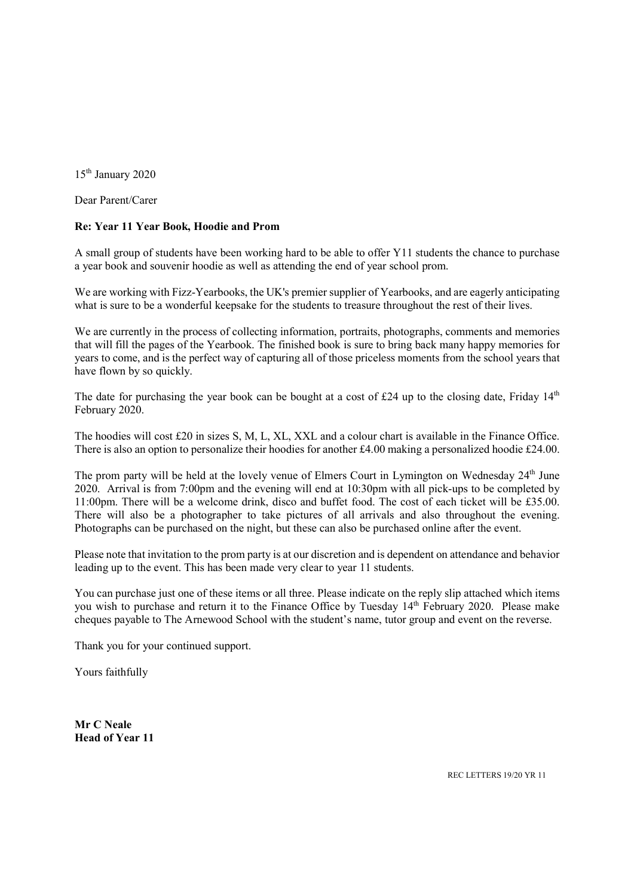15<sup>th</sup> January 2020

Dear Parent/Carer

## Re: Year 11 Year Book, Hoodie and Prom

A small group of students have been working hard to be able to offer Y11 students the chance to purchase a year book and souvenir hoodie as well as attending the end of year school prom.

We are working with Fizz-Yearbooks, the UK's premier supplier of Yearbooks, and are eagerly anticipating what is sure to be a wonderful keepsake for the students to treasure throughout the rest of their lives.

We are currently in the process of collecting information, portraits, photographs, comments and memories that will fill the pages of the Yearbook. The finished book is sure to bring back many happy memories for years to come, and is the perfect way of capturing all of those priceless moments from the school years that have flown by so quickly.

The date for purchasing the year book can be bought at a cost of £24 up to the closing date, Friday  $14<sup>th</sup>$ February 2020.

The hoodies will cost £20 in sizes S, M, L, XL, XXL and a colour chart is available in the Finance Office. There is also an option to personalize their hoodies for another £4.00 making a personalized hoodie £24.00.

The prom party will be held at the lovely venue of Elmers Court in Lymington on Wednesday 24<sup>th</sup> June 2020. Arrival is from 7:00pm and the evening will end at 10:30pm with all pick-ups to be completed by 11:00pm. There will be a welcome drink, disco and buffet food. The cost of each ticket will be £35.00. There will also be a photographer to take pictures of all arrivals and also throughout the evening. Photographs can be purchased on the night, but these can also be purchased online after the event.

Please note that invitation to the prom party is at our discretion and is dependent on attendance and behavior leading up to the event. This has been made very clear to year 11 students.

You can purchase just one of these items or all three. Please indicate on the reply slip attached which items you wish to purchase and return it to the Finance Office by Tuesday 14<sup>th</sup> February 2020. Please make cheques payable to The Arnewood School with the student's name, tutor group and event on the reverse.

Thank you for your continued support.

Yours faithfully

Mr C Neale Head of Year 11

REC LETTERS 19/20 YR 11